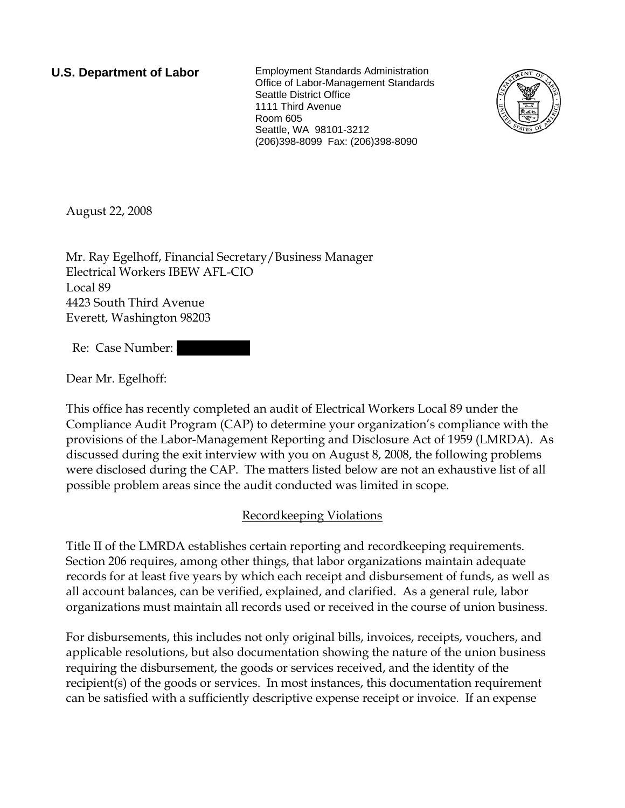**U.S. Department of Labor** Employment Standards Administration Office of Labor-Management Standards Seattle District Office 1111 Third Avenue Room 605 Seattle, WA 98101-3212 (206)398-8099 Fax: (206)398-8090



August 22, 2008

Mr. Ray Egelhoff, Financial Secretary/Business Manager Electrical Workers IBEW AFL-CIO Local 89 4423 South Third Avenue Everett, Washington 98203

Re: Case Number:

Dear Mr. Egelhoff:

This office has recently completed an audit of Electrical Workers Local 89 under the Compliance Audit Program (CAP) to determine your organization's compliance with the provisions of the Labor-Management Reporting and Disclosure Act of 1959 (LMRDA). As discussed during the exit interview with you on August 8, 2008, the following problems were disclosed during the CAP. The matters listed below are not an exhaustive list of all possible problem areas since the audit conducted was limited in scope.

## Recordkeeping Violations

Title II of the LMRDA establishes certain reporting and recordkeeping requirements. Section 206 requires, among other things, that labor organizations maintain adequate records for at least five years by which each receipt and disbursement of funds, as well as all account balances, can be verified, explained, and clarified. As a general rule, labor organizations must maintain all records used or received in the course of union business.

For disbursements, this includes not only original bills, invoices, receipts, vouchers, and applicable resolutions, but also documentation showing the nature of the union business requiring the disbursement, the goods or services received, and the identity of the recipient(s) of the goods or services. In most instances, this documentation requirement can be satisfied with a sufficiently descriptive expense receipt or invoice. If an expense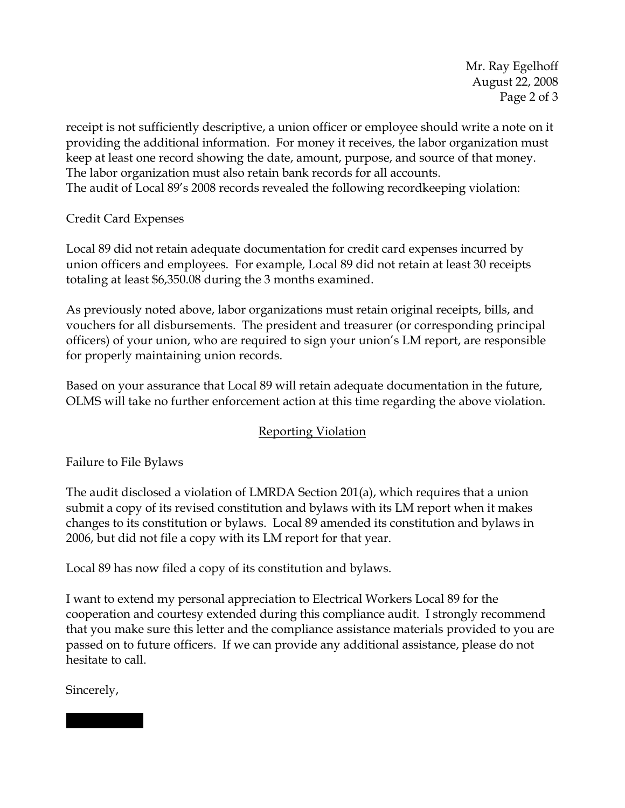Mr. Ray Egelhoff August 22, 2008 Page 2 of 3

receipt is not sufficiently descriptive, a union officer or employee should write a note on it providing the additional information. For money it receives, the labor organization must keep at least one record showing the date, amount, purpose, and source of that money. The labor organization must also retain bank records for all accounts. The audit of Local 89's 2008 records revealed the following recordkeeping violation:

Credit Card Expenses

Local 89 did not retain adequate documentation for credit card expenses incurred by union officers and employees. For example, Local 89 did not retain at least 30 receipts totaling at least \$6,350.08 during the 3 months examined.

As previously noted above, labor organizations must retain original receipts, bills, and vouchers for all disbursements. The president and treasurer (or corresponding principal officers) of your union, who are required to sign your union's LM report, are responsible for properly maintaining union records.

Based on your assurance that Local 89 will retain adequate documentation in the future, OLMS will take no further enforcement action at this time regarding the above violation.

## Reporting Violation

Failure to File Bylaws

The audit disclosed a violation of LMRDA Section 201(a), which requires that a union submit a copy of its revised constitution and bylaws with its LM report when it makes changes to its constitution or bylaws. Local 89 amended its constitution and bylaws in 2006, but did not file a copy with its LM report for that year.

Local 89 has now filed a copy of its constitution and bylaws.

I want to extend my personal appreciation to Electrical Workers Local 89 for the cooperation and courtesy extended during this compliance audit. I strongly recommend that you make sure this letter and the compliance assistance materials provided to you are passed on to future officers. If we can provide any additional assistance, please do not hesitate to call.

Sincerely,